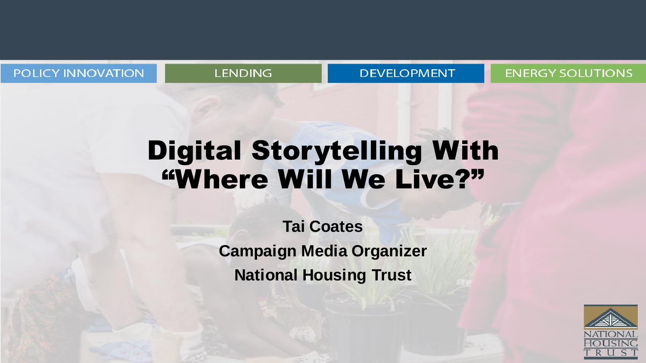POLICY INNOVATION

### **LENDING**

#### **DEVELOPMENT**

### **ENERGY SOLUTIONS**

## Digital Storytelling With "Where Will We Live?"

**Tai Coates Campaign Media Organizer National Housing Trust**

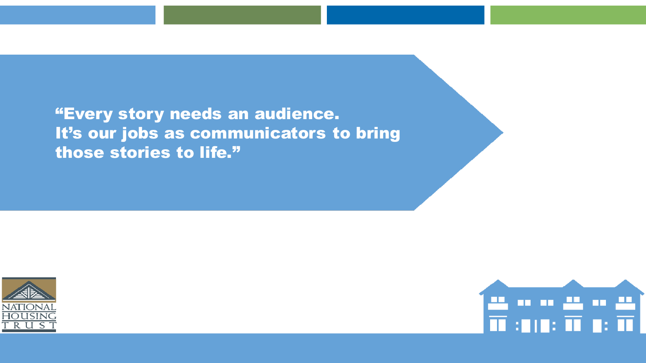"Every story needs an audience. It's our jobs as communicators to bring those stories to life."



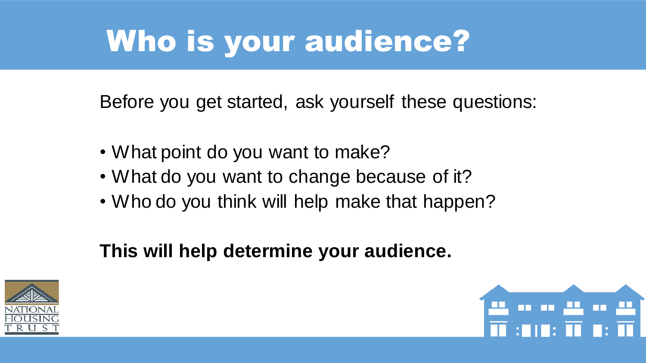# Who is your audience?

Before you get started, ask yourself these questions:

- What point do you want to make?
- What do you want to change because of it?
- Who do you think will help make that happen?

## **This will help determine your audience.**



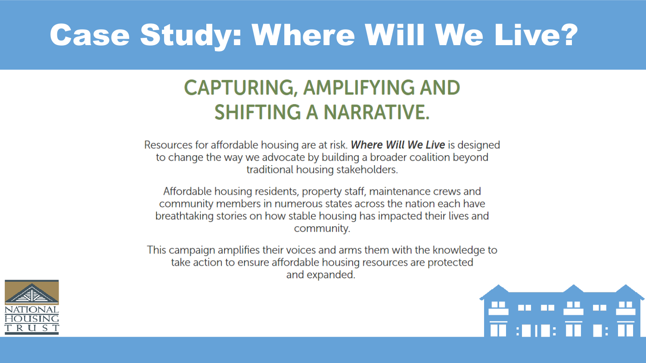# Case Study: Where Will We Live?

## **CAPTURING, AMPLIFYING AND SHIFTING A NARRATIVE.**

Resources for affordable housing are at risk. Where Will We Live is designed to change the way we advocate by building a broader coalition beyond traditional housing stakeholders.

Affordable housing residents, property staff, maintenance crews and community members in numerous states across the nation each have breathtaking stories on how stable housing has impacted their lives and community.

This campaign amplifies their voices and arms them with the knowledge to take action to ensure affordable housing resources are protected and expanded.



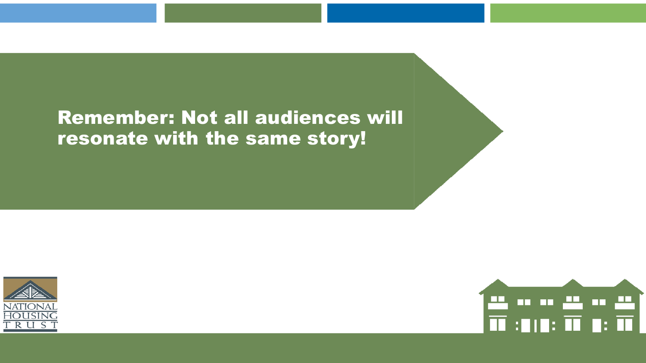### Remember: Not all audiences will resonate with the same story!



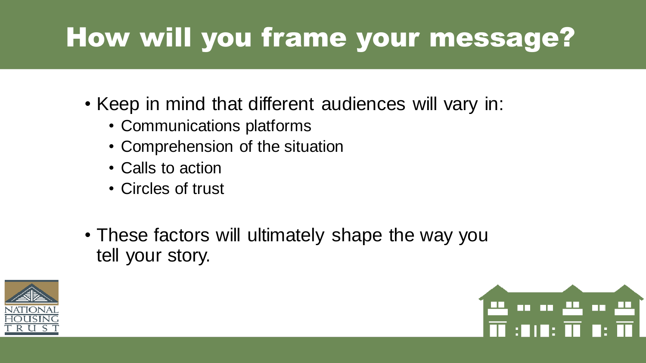# How will you frame your message?

- Keep in mind that different audiences will vary in:
	- Communications platforms
	- Comprehension of the situation
	- Calls to action
	- Circles of trust
- These factors will ultimately shape the way you tell your story.



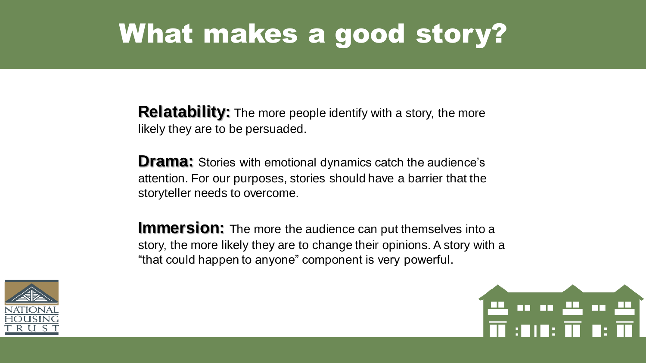## What makes a good story?

**Relatability:** The more people identify with a story, the more likely they are to be persuaded.

**Drama:** Stories with emotional dynamics catch the audience's attention. For our purposes, stories should have a barrier that the storyteller needs to overcome.

**Immersion:** The more the audience can put themselves into a story, the more likely they are to change their opinions. A story with a "that could happen to anyone" component is very powerful.



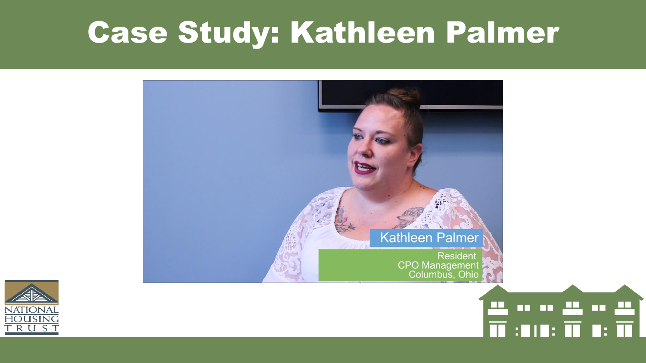# Case Study: Kathleen Palmer



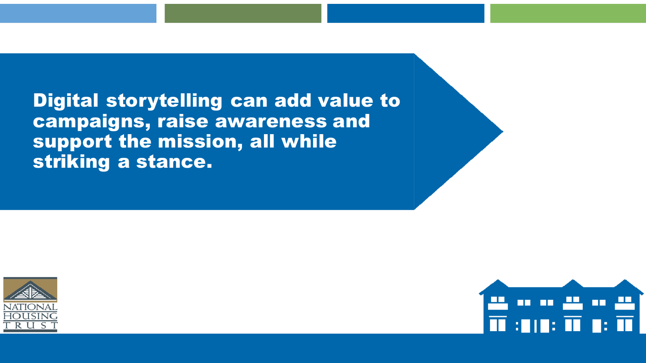Digital storytelling can add value to campaigns, raise awareness and support the mission, all while striking a stance.





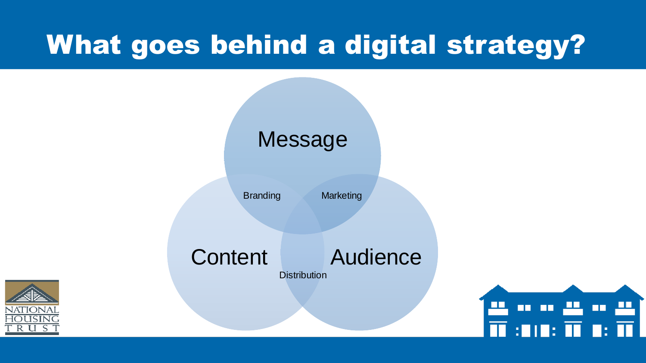## What goes behind a digital strategy?



Branding Marketing

Content Audience **Distribution**